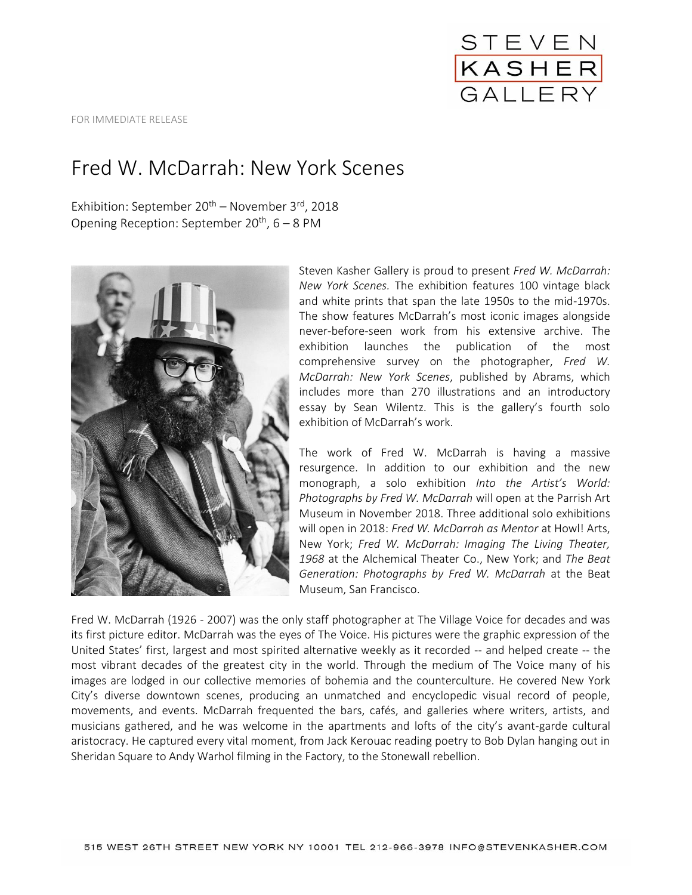

FOR IMMEDIATE RELEASE

## Fred W. McDarrah: New York Scenes

Exhibition: September  $20^{th}$  – November  $3^{rd}$ , 2018 Opening Reception: September 20<sup>th</sup>, 6 – 8 PM



Steven Kasher Gallery is proud to present *Fred W. McDarrah: New York Scenes.* The exhibition features 100 vintage black and white prints that span the late 1950s to the mid-1970s. The show features McDarrah's most iconic images alongside never-before-seen work from his extensive archive. The exhibition launches the publication of the most comprehensive survey on the photographer, *Fred W. McDarrah: New York Scenes*, published by Abrams, which includes more than 270 illustrations and an introductory essay by Sean Wilentz. This is the gallery's fourth solo exhibition of McDarrah's work.

The work of Fred W. McDarrah is having a massive resurgence. In addition to our exhibition and the new monograph, a solo exhibition *Into the Artist's World: Photographs by Fred W. McDarrah* will open at the Parrish Art Museum in November 2018. Three additional solo exhibitions will open in 2018: *Fred W. McDarrah as Mentor* at Howl! Arts, New York; *Fred W. McDarrah: Imaging The Living Theater, 1968* at the Alchemical Theater Co., New York; and *The Beat Generation: Photographs by Fred W. McDarrah* at the Beat Museum, San Francisco.

Fred W. McDarrah (1926 - 2007) was the only staff photographer at The Village Voice for decades and was its first picture editor. McDarrah was the eyes of The Voice. His pictures were the graphic expression of the United States' first, largest and most spirited alternative weekly as it recorded -- and helped create -- the most vibrant decades of the greatest city in the world. Through the medium of The Voice many of his images are lodged in our collective memories of bohemia and the counterculture. He covered New York City's diverse downtown scenes, producing an unmatched and encyclopedic visual record of people, movements, and events. McDarrah frequented the bars, cafés, and galleries where writers, artists, and musicians gathered, and he was welcome in the apartments and lofts of the city's avant-garde cultural aristocracy. He captured every vital moment, from Jack Kerouac reading poetry to Bob Dylan hanging out in Sheridan Square to Andy Warhol filming in the Factory, to the Stonewall rebellion.